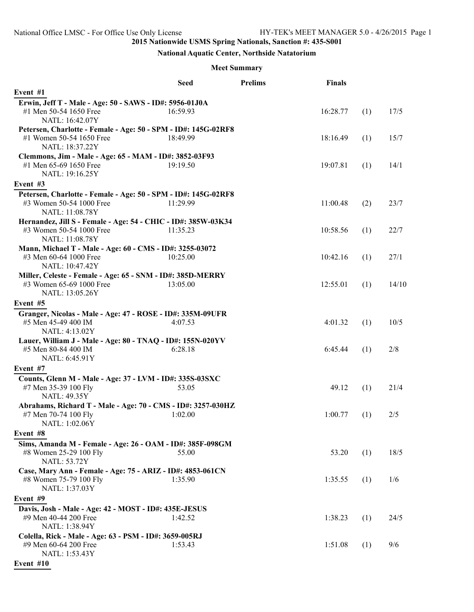# **National Aquatic Center, Northside Natatorium**

## **Meet Summary**

|                                                                                                               | <b>Seed</b> | <b>Prelims</b> | Finals   |     |       |
|---------------------------------------------------------------------------------------------------------------|-------------|----------------|----------|-----|-------|
| Event #1                                                                                                      |             |                |          |     |       |
| Erwin, Jeff T - Male - Age: 50 - SAWS - ID#: 5956-01J0A                                                       |             |                |          |     |       |
| #1 Men 50-54 1650 Free<br>NATL: 16:42.07Y                                                                     | 16:59.93    |                | 16:28.77 | (1) | 17/5  |
| Petersen, Charlotte - Female - Age: 50 - SPM - ID#: 145G-02RF8<br>#1 Women 50-54 1650 Free<br>NATL: 18:37.22Y | 18:49.99    |                | 18:16.49 | (1) | 15/7  |
| Clemmons, Jim - Male - Age: 65 - MAM - ID#: 3852-03F93<br>#1 Men 65-69 1650 Free<br>NATL: 19:16.25Y           | 19:19.50    |                | 19:07.81 | (1) | 14/1  |
| Event #3                                                                                                      |             |                |          |     |       |
| Petersen, Charlotte - Female - Age: 50 - SPM - ID#: 145G-02RF8<br>#3 Women 50-54 1000 Free<br>NATL: 11:08.78Y | 11:29.99    |                | 11:00.48 | (2) | 23/7  |
| Hernandez, Jill S - Female - Age: 54 - CHIC - ID#: 385W-03K34                                                 |             |                |          |     |       |
| #3 Women 50-54 1000 Free<br>NATL: 11:08.78Y                                                                   | 11:35.23    |                | 10:58.56 | (1) | 22/7  |
| Mann, Michael T - Male - Age: 60 - CMS - ID#: 3255-03072<br>#3 Men 60-64 1000 Free<br>NATL: 10:47.42Y         | 10:25.00    |                | 10:42.16 | (1) | 27/1  |
| Miller, Celeste - Female - Age: 65 - SNM - ID#: 385D-MERRY<br>#3 Women 65-69 1000 Free<br>NATL: 13:05.26Y     | 13:05.00    |                | 12:55.01 | (1) | 14/10 |
| Event #5                                                                                                      |             |                |          |     |       |
| Granger, Nicolas - Male - Age: 47 - ROSE - ID#: 335M-09UFR<br>#5 Men 45-49 400 IM<br>NATL: 4:13.02Y           | 4:07.53     |                | 4:01.32  | (1) | 10/5  |
| Lauer, William J - Male - Age: 80 - TNAQ - ID#: 155N-020YV<br>#5 Men 80-84 400 IM                             | 6:28.18     |                | 6:45.44  | (1) | 2/8   |
| NATL: 6:45.91Y                                                                                                |             |                |          |     |       |
| Event #7                                                                                                      |             |                |          |     |       |
| Counts, Glenn M - Male - Age: 37 - LVM - ID#: 335S-03SXC<br>#7 Men 35-39 100 Fly<br><b>NATL: 49.35Y</b>       | 53.05       |                | 49.12    | (1) | 21/4  |
| Abrahams, Richard T - Male - Age: 70 - CMS - ID#: 3257-030HZ                                                  |             |                |          |     |       |
| #7 Men 70-74 100 Fly<br>NATL: 1:02.06Y                                                                        | 1:02.00     |                | 1:00.77  | (1) | 2/5   |
| Event #8                                                                                                      |             |                |          |     |       |
| Sims, Amanda M - Female - Age: 26 - OAM - ID#: 385F-098GM<br>#8 Women 25-29 100 Fly<br><b>NATL: 53.72Y</b>    | 55.00       |                | 53.20    | (1) | 18/5  |
| Case, Mary Ann - Female - Age: 75 - ARIZ - ID#: 4853-061CN                                                    |             |                |          |     |       |
| #8 Women 75-79 100 Fly<br>NATL: 1:37.03Y                                                                      | 1:35.90     |                | 1:35.55  | (1) | 1/6   |
| Event #9                                                                                                      |             |                |          |     |       |
| Davis, Josh - Male - Age: 42 - MOST - ID#: 435E-JESUS<br>#9 Men 40-44 200 Free                                | 1:42.52     |                | 1:38.23  | (1) | 24/5  |
| NATL: 1:38.94Y                                                                                                |             |                |          |     |       |
| Colella, Rick - Male - Age: 63 - PSM - ID#: 3659-005RJ<br>#9 Men 60-64 200 Free<br>NATL: 1:53.43Y             | 1:53.43     |                | 1:51.08  | (1) | 9/6   |
| Event #10                                                                                                     |             |                |          |     |       |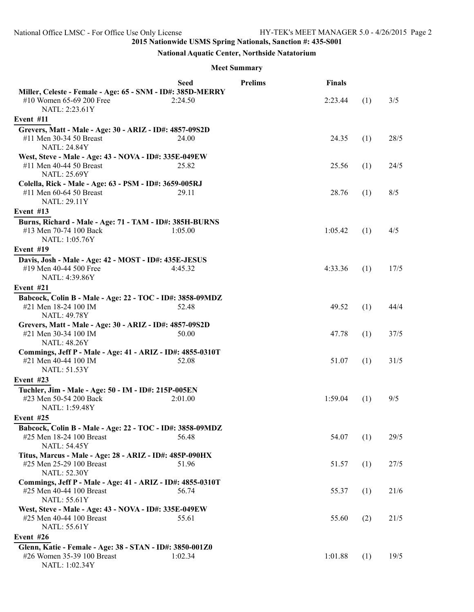# **National Aquatic Center, Northside Natatorium**

## **Meet Summary**

|                                                                                                               | <b>Seed</b> | <b>Prelims</b> | <b>Finals</b> |     |      |
|---------------------------------------------------------------------------------------------------------------|-------------|----------------|---------------|-----|------|
| Miller, Celeste - Female - Age: 65 - SNM - ID#: 385D-MERRY<br>#10 Women 65-69 200 Free<br>NATL: 2:23.61Y      | 2:24.50     |                | 2:23.44       | (1) | 3/5  |
| Event #11                                                                                                     |             |                |               |     |      |
| Grevers, Matt - Male - Age: 30 - ARIZ - ID#: 4857-09S2D<br>#11 Men 30-34 50 Breast<br><b>NATL: 24.84Y</b>     | 24.00       |                | 24.35         | (1) | 28/5 |
| West, Steve - Male - Age: 43 - NOVA - ID#: 335E-049EW<br>#11 Men 40-44 50 Breast<br><b>NATL: 25.69Y</b>       | 25.82       |                | 25.56         | (1) | 24/5 |
| Colella, Rick - Male - Age: 63 - PSM - ID#: 3659-005RJ<br>#11 Men 60-64 50 Breast<br><b>NATL: 29.11Y</b>      | 29.11       |                | 28.76         | (1) | 8/5  |
| Event #13                                                                                                     |             |                |               |     |      |
| Burns, Richard - Male - Age: 71 - TAM - ID#: 385H-BURNS<br>#13 Men 70-74 100 Back<br>NATL: 1:05.76Y           | 1:05.00     |                | 1:05.42       | (1) | 4/5  |
| Event #19                                                                                                     |             |                |               |     |      |
| Davis, Josh - Male - Age: 42 - MOST - ID#: 435E-JESUS<br>#19 Men 40-44 500 Free<br>NATL: 4:39.86Y             | 4:45.32     |                | 4:33.36       | (1) | 17/5 |
| Event #21                                                                                                     |             |                |               |     |      |
| Babcock, Colin B - Male - Age: 22 - TOC - ID#: 3858-09MDZ                                                     |             |                |               |     |      |
| #21 Men 18-24 100 IM<br><b>NATL: 49.78Y</b>                                                                   | 52.48       |                | 49.52         | (1) | 44/4 |
| Grevers, Matt - Male - Age: 30 - ARIZ - ID#: 4857-09S2D<br>#21 Men 30-34 100 IM<br><b>NATL: 48.26Y</b>        | 50.00       |                | 47.78         | (1) | 37/5 |
| Commings, Jeff P - Male - Age: 41 - ARIZ - ID#: 4855-0310T<br>#21 Men 40-44 100 IM<br><b>NATL: 51.53Y</b>     | 52.08       |                | 51.07         | (1) | 31/5 |
| Event #23                                                                                                     |             |                |               |     |      |
| Tuchler, Jim - Male - Age: 50 - IM - ID#: 215P-005EN<br>#23 Men 50-54 200 Back<br>NATL: 1:59.48Y              | 2:01.00     |                | 1:59.04       | (1) | 9/5  |
| Event #25                                                                                                     |             |                |               |     |      |
| Babcock, Colin B - Male - Age: 22 - TOC - ID#: 3858-09MDZ<br>#25 Men 18-24 100 Breast<br><b>NATL: 54.45Y</b>  | 56.48       |                | 54.07         | (1) | 29/5 |
| Titus, Marcus - Male - Age: 28 - ARIZ - ID#: 485P-090HX<br>#25 Men 25-29 100 Breast<br><b>NATL: 52.30Y</b>    | 51.96       |                | 51.57         | (1) | 27/5 |
| Commings, Jeff P - Male - Age: 41 - ARIZ - ID#: 4855-0310T<br>#25 Men 40-44 100 Breast<br><b>NATL: 55.61Y</b> | 56.74       |                | 55.37         | (1) | 21/6 |
| West, Steve - Male - Age: 43 - NOVA - ID#: 335E-049EW<br>#25 Men 40-44 100 Breast<br><b>NATL: 55.61Y</b>      | 55.61       |                | 55.60         | (2) | 21/5 |
| Event #26                                                                                                     |             |                |               |     |      |
| Glenn, Katie - Female - Age: 38 - STAN - ID#: 3850-001Z0<br>#26 Women 35-39 100 Breast<br>NATL: 1:02.34Y      | 1:02.34     |                | 1:01.88       | (1) | 19/5 |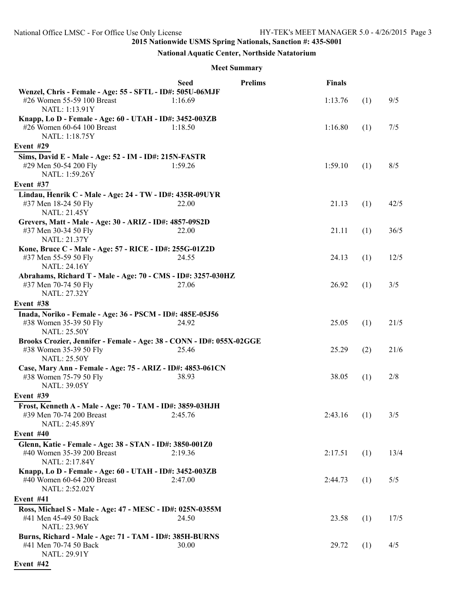# **National Aquatic Center, Northside Natatorium**

#### **Meet Summary**

|                                                                                                                       | <b>Seed</b> | <b>Prelims</b> | <b>Finals</b> |     |      |
|-----------------------------------------------------------------------------------------------------------------------|-------------|----------------|---------------|-----|------|
| Wenzel, Chris - Female - Age: 55 - SFTL - ID#: 505U-06MJF<br>#26 Women 55-59 100 Breast                               | 1:16.69     |                | 1:13.76       | (1) | 9/5  |
| NATL: 1:13.91Y                                                                                                        |             |                |               |     |      |
| Knapp, Lo D - Female - Age: 60 - UTAH - ID#: 3452-003ZB<br>#26 Women 60-64 100 Breast<br>NATL: 1:18.75Y               | 1:18.50     |                | 1:16.80       | (1) | 7/5  |
| Event #29                                                                                                             |             |                |               |     |      |
| Sims, David E - Male - Age: 52 - IM - ID#: 215N-FASTR                                                                 |             |                |               |     |      |
| #29 Men 50-54 200 Fly<br>NATL: 1:59.26Y                                                                               | 1:59.26     |                | 1:59.10       | (1) | 8/5  |
| Event #37                                                                                                             |             |                |               |     |      |
| Lindau, Henrik C - Male - Age: 24 - TW - ID#: 435R-09UYR                                                              |             |                |               |     |      |
| #37 Men 18-24 50 Fly<br><b>NATL: 21.45Y</b>                                                                           | 22.00       |                | 21.13         | (1) | 42/5 |
| Grevers, Matt - Male - Age: 30 - ARIZ - ID#: 4857-09S2D                                                               |             |                |               |     |      |
| #37 Men 30-34 50 Fly<br><b>NATL: 21.37Y</b>                                                                           | 22.00       |                | 21.11         | (1) | 36/5 |
| Kone, Bruce C - Male - Age: 57 - RICE - ID#: 255G-01Z2D                                                               |             |                |               |     |      |
| #37 Men 55-59 50 Fly<br><b>NATL: 24.16Y</b>                                                                           | 24.55       |                | 24.13         | (1) | 12/5 |
| Abrahams, Richard T - Male - Age: 70 - CMS - ID#: 3257-030HZ                                                          |             |                |               |     |      |
| #37 Men 70-74 50 Fly<br><b>NATL: 27.32Y</b>                                                                           | 27.06       |                | 26.92         | (1) | 3/5  |
| Event #38                                                                                                             |             |                |               |     |      |
| Inada, Noriko - Female - Age: 36 - PSCM - ID#: 485E-05J56                                                             |             |                |               |     |      |
| #38 Women 35-39 50 Fly<br><b>NATL: 25.50Y</b>                                                                         | 24.92       |                | 25.05         | (1) | 21/5 |
| Brooks Crozier, Jennifer - Female - Age: 38 - CONN - ID#: 055X-02GGE<br>#38 Women 35-39 50 Fly<br><b>NATL: 25.50Y</b> | 25.46       |                | 25.29         | (2) | 21/6 |
| Case, Mary Ann - Female - Age: 75 - ARIZ - ID#: 4853-061CN                                                            |             |                |               |     |      |
| #38 Women 75-79 50 Fly<br><b>NATL: 39.05Y</b>                                                                         | 38.93       |                | 38.05         | (1) | 2/8  |
| Event #39                                                                                                             |             |                |               |     |      |
| Frost, Kenneth A - Male - Age: 70 - TAM - ID#: 3859-03HJH                                                             |             |                |               |     |      |
| #39 Men 70-74 200 Breast<br>NATL: 2:45.89Y                                                                            | 2:45.76     |                | 2:43.16       | (1) | 3/5  |
| Event #40                                                                                                             |             |                |               |     |      |
| Glenn, Katie - Female - Age: 38 - STAN - ID#: 3850-001Z0<br>#40 Women 35-39 200 Breast                                | 2:19.36     |                | 2:17.51       | (1) | 13/4 |
| NATL: 2:17.84Y                                                                                                        |             |                |               |     |      |
| Knapp, Lo D - Female - Age: 60 - UTAH - ID#: 3452-003ZB                                                               |             |                |               |     |      |
| #40 Women 60-64 200 Breast<br>NATL: 2:52.02Y                                                                          | 2:47.00     |                | 2:44.73       | (1) | 5/5  |
| Event #41                                                                                                             |             |                |               |     |      |
| Ross, Michael S - Male - Age: 47 - MESC - ID#: 025N-0355M                                                             |             |                |               |     |      |
| #41 Men 45-49 50 Back<br><b>NATL: 23.96Y</b>                                                                          | 24.50       |                | 23.58         | (1) | 17/5 |
| Burns, Richard - Male - Age: 71 - TAM - ID#: 385H-BURNS                                                               |             |                |               |     |      |
| #41 Men 70-74 50 Back<br>NATL: 29.91Y                                                                                 | 30.00       |                | 29.72         | (1) | 4/5  |
| $F_{\text{scatt}} + 442$                                                                                              |             |                |               |     |      |

**Event #42**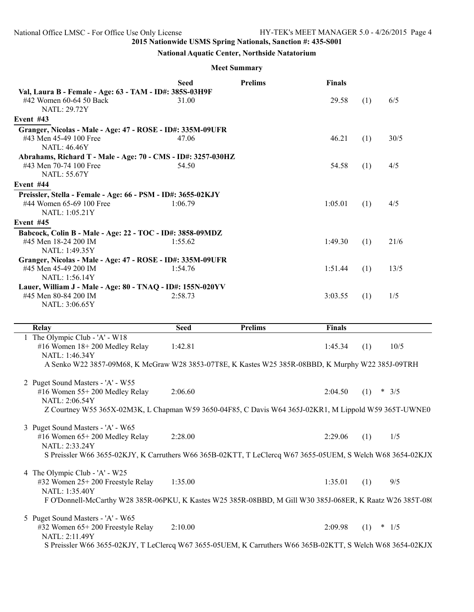### **National Aquatic Center, Northside Natatorium**

#### **Meet Summary**

|                                                                                                                                                                                                   | <b>Seed</b> | <b>Prelims</b> | <b>Finals</b> |     |         |
|---------------------------------------------------------------------------------------------------------------------------------------------------------------------------------------------------|-------------|----------------|---------------|-----|---------|
| Val, Laura B - Female - Age: 63 - TAM - ID#: 385S-03H9F<br>#42 Women 60-64 50 Back<br><b>NATL: 29.72Y</b>                                                                                         | 31.00       |                | 29.58         | (1) | 6/5     |
| Event #43                                                                                                                                                                                         |             |                |               |     |         |
| Granger, Nicolas - Male - Age: 47 - ROSE - ID#: 335M-09UFR<br>#43 Men 45-49 100 Free<br><b>NATL: 46.46Y</b>                                                                                       | 47.06       |                | 46.21         | (1) | 30/5    |
| Abrahams, Richard T - Male - Age: 70 - CMS - ID#: 3257-030HZ<br>#43 Men 70-74 100 Free<br><b>NATL: 55.67Y</b>                                                                                     | 54.50       |                | 54.58         | (1) | 4/5     |
| Event #44                                                                                                                                                                                         |             |                |               |     |         |
| Preissler, Stella - Female - Age: 66 - PSM - ID#: 3655-02KJY<br>#44 Women 65-69 100 Free<br>NATL: 1:05.21Y                                                                                        | 1:06.79     |                | 1:05.01       | (1) | 4/5     |
| Event #45                                                                                                                                                                                         |             |                |               |     |         |
| Babcock, Colin B - Male - Age: 22 - TOC - ID#: 3858-09MDZ<br>#45 Men 18-24 200 IM<br>NATL: 1:49.35Y                                                                                               | 1:55.62     |                | 1:49.30       | (1) | 21/6    |
| Granger, Nicolas - Male - Age: 47 - ROSE - ID#: 335M-09UFR<br>#45 Men 45-49 200 IM<br>NATL: 1:56.14Y                                                                                              | 1:54.76     |                | 1:51.44       | (1) | 13/5    |
| Lauer, William J - Male - Age: 80 - TNAQ - ID#: 155N-020YV<br>#45 Men 80-84 200 IM<br>NATL: 3:06.65Y                                                                                              | 2:58.73     |                | 3:03.55       | (1) | 1/5     |
| <b>Relay</b>                                                                                                                                                                                      | <b>Seed</b> | <b>Prelims</b> | <b>Finals</b> |     |         |
| The Olympic Club - 'A' - W18<br>#16 Women 18+200 Medley Relay                                                                                                                                     | 1:42.81     |                | 1:45.34       | (1) | 10/5    |
| NATL: 1:46.34Y<br>A Senko W22 3857-09M68, K McGraw W28 3853-07T8E, K Kastes W25 385R-08BBD, K Murphy W22 385J-09TRH                                                                               |             |                |               |     |         |
| 2 Puget Sound Masters - 'A' - W55<br>#16 Women 55+200 Medley Relay<br>NATL: 2:06.54Y<br>Z Courtney W55 365X-02M3K, L Chapman W59 3650-04F85, C Davis W64 365J-02KR1, M Lippold W59 365T-UWNE0     | 2:06.60     |                | 2:04.50       | (1) | * $3/5$ |
|                                                                                                                                                                                                   |             |                |               |     |         |
| 3 Puget Sound Masters - 'A' - W65<br>#16 Women 65+200 Medley Relay<br>NATL: 2:33.24Y                                                                                                              | 2:28.00     |                | 2:29.06       | (1) | 1/5     |
| S Preissler W66 3655-02KJY, K Carruthers W66 365B-02KTT, T LeClercq W67 3655-05UEM, S Welch W68 3654-02KJX                                                                                        |             |                |               |     |         |
| 4 The Olympic Club - 'A' - W25<br>#32 Women 25+200 Freestyle Relay<br>NATL: 1:35.40Y<br>F O'Donnell-McCarthy W28 385R-06PKU, K Kastes W25 385R-08BBD, M Gill W30 385J-068ER, K Raatz W26 385T-08( | 1:35.00     |                | 1:35.01       | (1) | 9/5     |
| 5 Puget Sound Masters - 'A' - W65                                                                                                                                                                 |             |                |               |     |         |

#32 Women 65+ 200 Freestyle Relay 2:10.00 2:09.98 (1) \* 1/5 NATL: 2:11.49Y S Preissler W66 3655-02KJY, T LeClercq W67 3655-05UEM, K Carruthers W66 365B-02KTT, S Welch W68 3654-02KJX